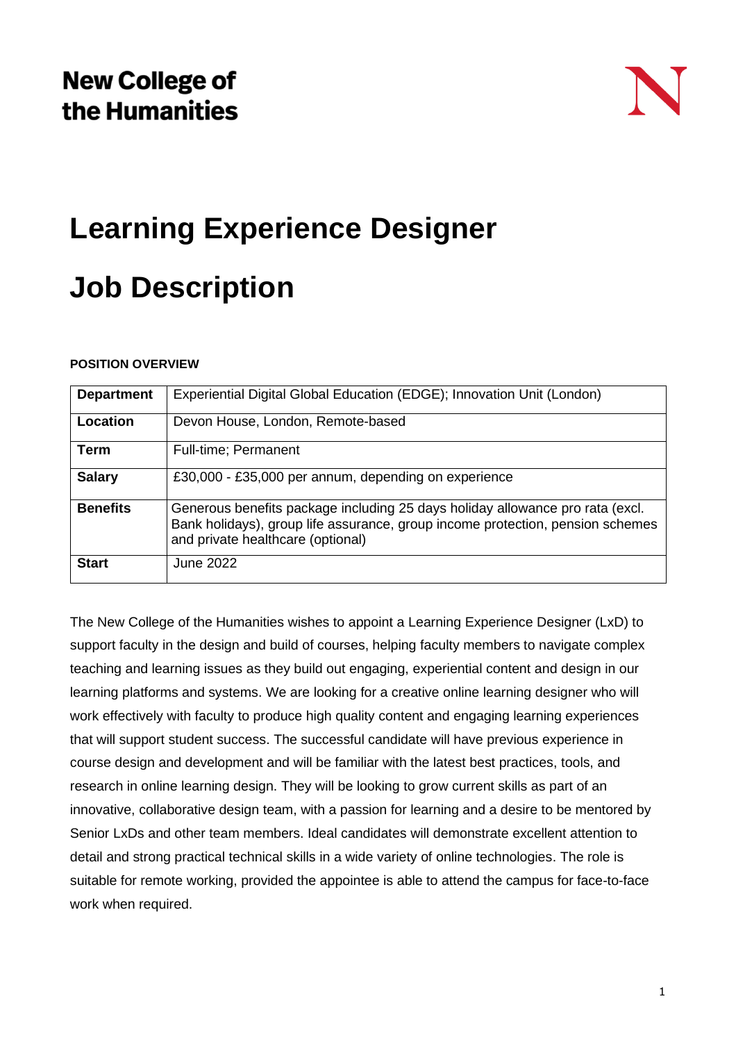

# **Learning Experience Designer**

# **Job Description**

# **POSITION OVERVIEW**

| <b>Department</b> | Experiential Digital Global Education (EDGE); Innovation Unit (London)                                                                                                                               |
|-------------------|------------------------------------------------------------------------------------------------------------------------------------------------------------------------------------------------------|
| Location          | Devon House, London, Remote-based                                                                                                                                                                    |
| Term              | Full-time; Permanent                                                                                                                                                                                 |
| <b>Salary</b>     | £30,000 - £35,000 per annum, depending on experience                                                                                                                                                 |
| <b>Benefits</b>   | Generous benefits package including 25 days holiday allowance pro rata (excl.<br>Bank holidays), group life assurance, group income protection, pension schemes<br>and private healthcare (optional) |
| <b>Start</b>      | June 2022                                                                                                                                                                                            |

The New College of the Humanities wishes to appoint a Learning Experience Designer (LxD) to support faculty in the design and build of courses, helping faculty members to navigate complex teaching and learning issues as they build out engaging, experiential content and design in our learning platforms and systems. We are looking for a creative online learning designer who will work effectively with faculty to produce high quality content and engaging learning experiences that will support student success. The successful candidate will have previous experience in course design and development and will be familiar with the latest best practices, tools, and research in online learning design. They will be looking to grow current skills as part of an innovative, collaborative design team, with a passion for learning and a desire to be mentored by Senior LxDs and other team members. Ideal candidates will demonstrate excellent attention to detail and strong practical technical skills in a wide variety of online technologies. The role is suitable for remote working, provided the appointee is able to attend the campus for face-to-face work when required.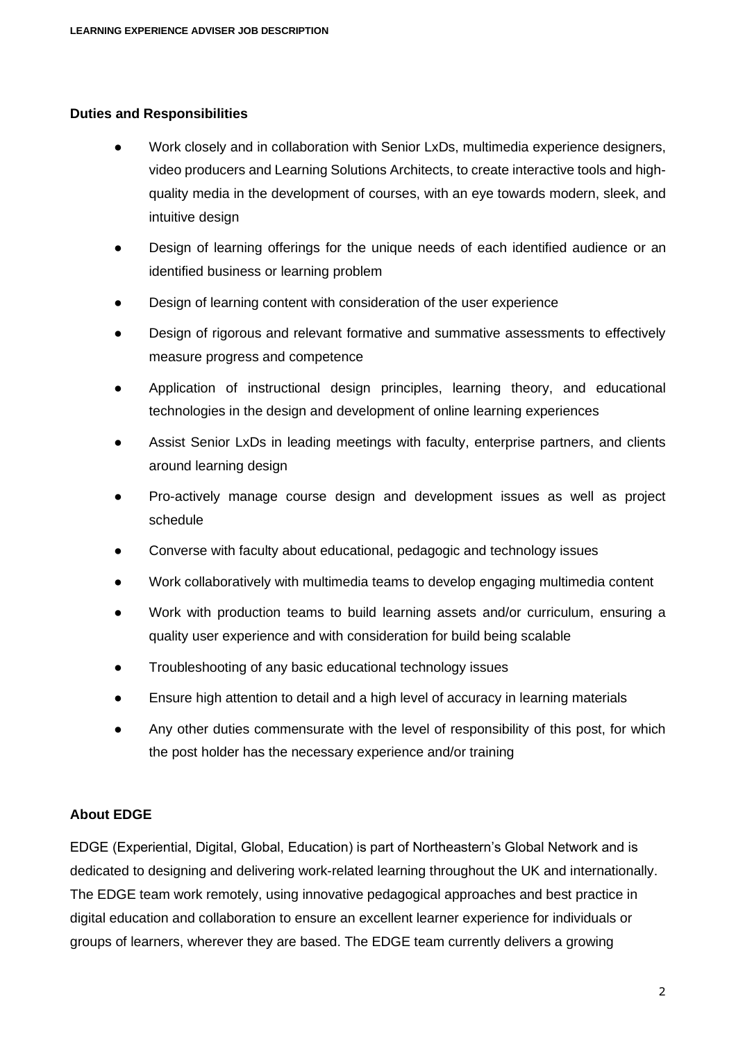#### **Duties and Responsibilities**

- Work closely and in collaboration with Senior LxDs, multimedia experience designers, video producers and Learning Solutions Architects, to create interactive tools and highquality media in the development of courses, with an eye towards modern, sleek, and intuitive design
- Design of learning offerings for the unique needs of each identified audience or an identified business or learning problem
- Design of learning content with consideration of the user experience
- Design of rigorous and relevant formative and summative assessments to effectively measure progress and competence
- Application of instructional design principles, learning theory, and educational technologies in the design and development of online learning experiences
- Assist Senior LxDs in leading meetings with faculty, enterprise partners, and clients around learning design
- Pro-actively manage course design and development issues as well as project schedule
- Converse with faculty about educational, pedagogic and technology issues
- Work collaboratively with multimedia teams to develop engaging multimedia content
- Work with production teams to build learning assets and/or curriculum, ensuring a quality user experience and with consideration for build being scalable
- Troubleshooting of any basic educational technology issues
- Ensure high attention to detail and a high level of accuracy in learning materials
- Any other duties commensurate with the level of responsibility of this post, for which the post holder has the necessary experience and/or training

#### **About EDGE**

EDGE (Experiential, Digital, Global, Education) is part of Northeastern's Global Network and is dedicated to designing and delivering work-related learning throughout the UK and internationally. The EDGE team work remotely, using innovative pedagogical approaches and best practice in digital education and collaboration to ensure an excellent learner experience for individuals or groups of learners, wherever they are based. The EDGE team currently delivers a growing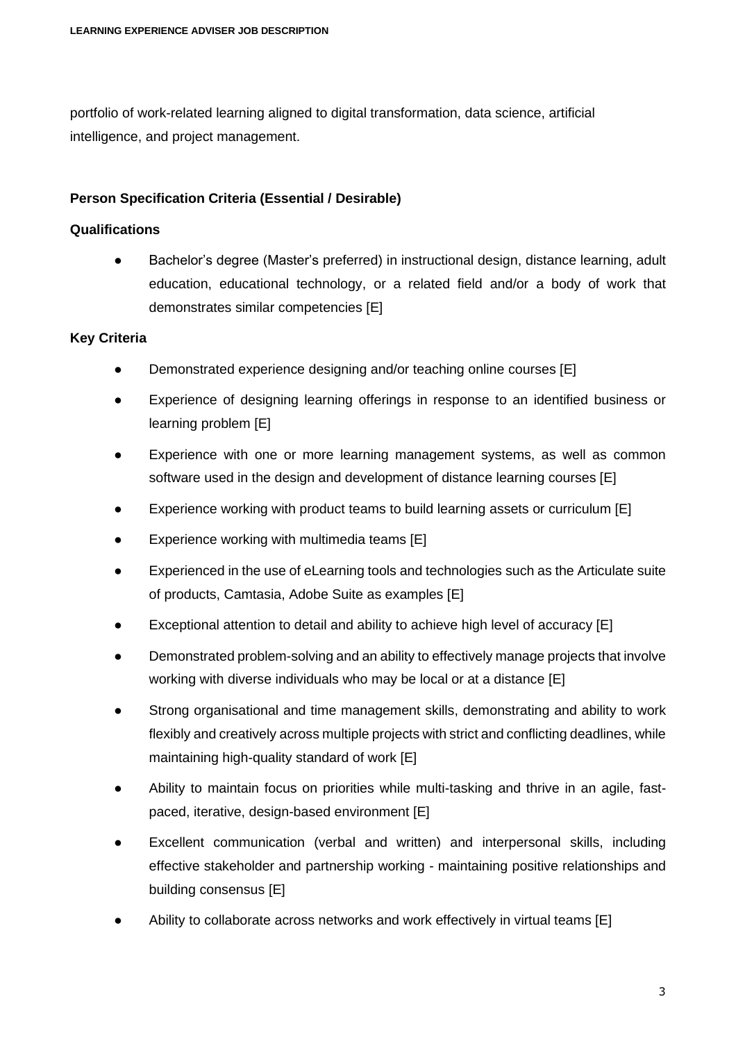portfolio of work-related learning aligned to digital transformation, data science, artificial intelligence, and project management.

# **Person Specification Criteria (Essential / Desirable)**

### **Qualifications**

● Bachelor's degree (Master's preferred) in instructional design, distance learning, adult education, educational technology, or a related field and/or a body of work that demonstrates similar competencies [E]

# **Key Criteria**

- Demonstrated experience designing and/or teaching online courses [E]
- Experience of designing learning offerings in response to an identified business or learning problem [E]
- Experience with one or more learning management systems, as well as common software used in the design and development of distance learning courses [E]
- Experience working with product teams to build learning assets or curriculum [E]
- Experience working with multimedia teams  $[E]$
- Experienced in the use of eLearning tools and technologies such as the Articulate suite of products, Camtasia, Adobe Suite as examples [E]
- Exceptional attention to detail and ability to achieve high level of accuracy  $[E]$
- Demonstrated problem-solving and an ability to effectively manage projects that involve working with diverse individuals who may be local or at a distance [E]
- Strong organisational and time management skills, demonstrating and ability to work flexibly and creatively across multiple projects with strict and conflicting deadlines, while maintaining high-quality standard of work [E]
- Ability to maintain focus on priorities while multi-tasking and thrive in an agile, fastpaced, iterative, design-based environment [E]
- Excellent communication (verbal and written) and interpersonal skills, including effective stakeholder and partnership working - maintaining positive relationships and building consensus [E]
- Ability to collaborate across networks and work effectively in virtual teams  $[E]$